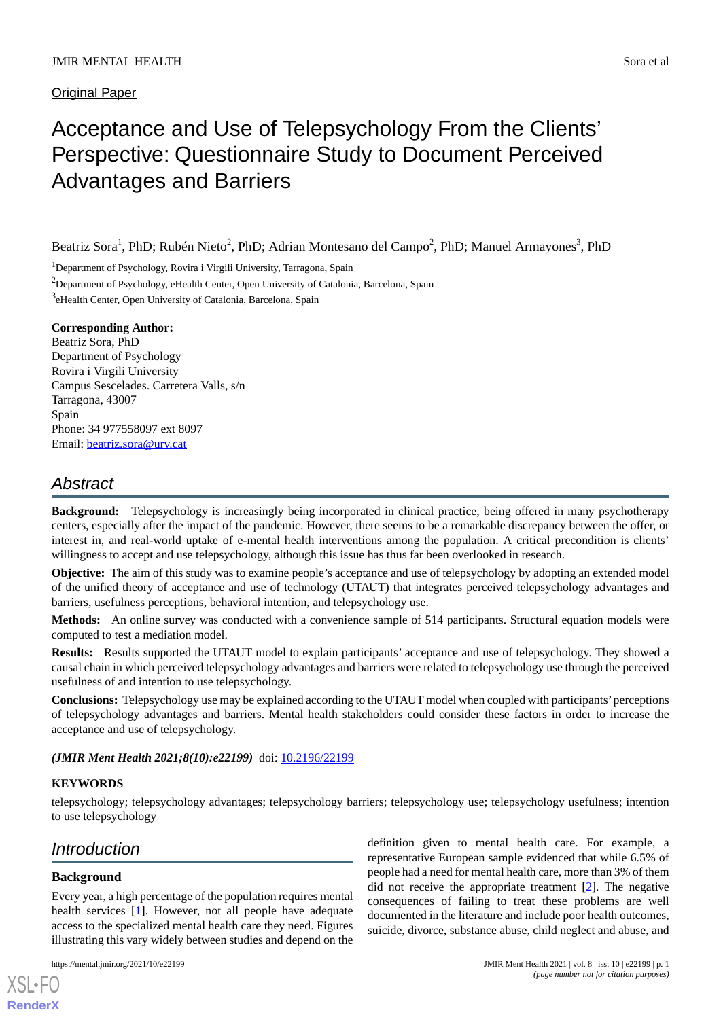**Original Paper** 

# Acceptance and Use of Telepsychology From the Clients' Perspective: Questionnaire Study to Document Perceived Advantages and Barriers

Beatriz Sora<sup>1</sup>, PhD; Rubén Nieto<sup>2</sup>, PhD; Adrian Montesano del Campo<sup>2</sup>, PhD; Manuel Armayones<sup>3</sup>, PhD

<sup>1</sup>Department of Psychology, Rovira i Virgili University, Tarragona, Spain

<sup>2</sup>Department of Psychology, eHealth Center, Open University of Catalonia, Barcelona, Spain

<sup>3</sup>eHealth Center, Open University of Catalonia, Barcelona, Spain

#### **Corresponding Author:**

Beatriz Sora, PhD Department of Psychology Rovira i Virgili University Campus Sescelades. Carretera Valls, s/n Tarragona, 43007 Spain Phone: 34 977558097 ext 8097 Email: [beatriz.sora@urv.cat](mailto:beatriz.sora@urv.cat)

# *Abstract*

**Background:** Telepsychology is increasingly being incorporated in clinical practice, being offered in many psychotherapy centers, especially after the impact of the pandemic. However, there seems to be a remarkable discrepancy between the offer, or interest in, and real-world uptake of e-mental health interventions among the population. A critical precondition is clients' willingness to accept and use telepsychology, although this issue has thus far been overlooked in research.

**Objective:** The aim of this study was to examine people's acceptance and use of telepsychology by adopting an extended model of the unified theory of acceptance and use of technology (UTAUT) that integrates perceived telepsychology advantages and barriers, usefulness perceptions, behavioral intention, and telepsychology use.

**Methods:** An online survey was conducted with a convenience sample of 514 participants. Structural equation models were computed to test a mediation model.

**Results:** Results supported the UTAUT model to explain participants' acceptance and use of telepsychology. They showed a causal chain in which perceived telepsychology advantages and barriers were related to telepsychology use through the perceived usefulness of and intention to use telepsychology.

**Conclusions:** Telepsychology use may be explained according to the UTAUT model when coupled with participants'perceptions of telepsychology advantages and barriers. Mental health stakeholders could consider these factors in order to increase the acceptance and use of telepsychology.

# (JMIR Ment Health 2021;8(10):e22199) doi: [10.2196/22199](http://dx.doi.org/10.2196/22199)

#### **KEYWORDS**

telepsychology; telepsychology advantages; telepsychology barriers; telepsychology use; telepsychology usefulness; intention to use telepsychology

# *Introduction*

# **Background**

[XSL](http://www.w3.org/Style/XSL)•FO **[RenderX](http://www.renderx.com/)**

Every year, a high percentage of the population requires mental health services [[1\]](#page-7-0). However, not all people have adequate access to the specialized mental health care they need. Figures illustrating this vary widely between studies and depend on the

definition given to mental health care. For example, a representative European sample evidenced that while 6.5% of people had a need for mental health care, more than 3% of them did not receive the appropriate treatment [[2\]](#page-7-1). The negative consequences of failing to treat these problems are well documented in the literature and include poor health outcomes, suicide, divorce, substance abuse, child neglect and abuse, and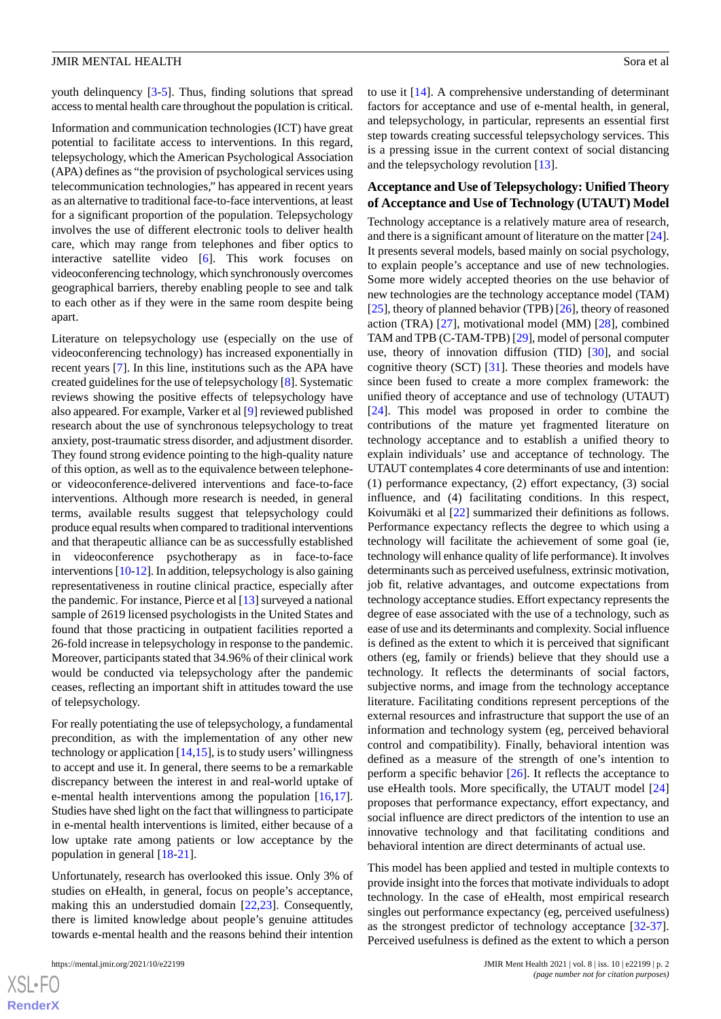youth delinquency [[3](#page-7-2)[-5](#page-7-3)]. Thus, finding solutions that spread access to mental health care throughout the population is critical.

Information and communication technologies (ICT) have great potential to facilitate access to interventions. In this regard, telepsychology, which the American Psychological Association (APA) defines as "the provision of psychological services using telecommunication technologies," has appeared in recent years as an alternative to traditional face-to-face interventions, at least for a significant proportion of the population. Telepsychology involves the use of different electronic tools to deliver health care, which may range from telephones and fiber optics to interactive satellite video [\[6](#page-7-4)]. This work focuses on videoconferencing technology, which synchronously overcomes geographical barriers, thereby enabling people to see and talk to each other as if they were in the same room despite being apart.

Literature on telepsychology use (especially on the use of videoconferencing technology) has increased exponentially in recent years [\[7\]](#page-7-5). In this line, institutions such as the APA have created guidelines for the use of telepsychology [\[8](#page-7-6)]. Systematic reviews showing the positive effects of telepsychology have also appeared. For example, Varker et al [\[9\]](#page-7-7) reviewed published research about the use of synchronous telepsychology to treat anxiety, post-traumatic stress disorder, and adjustment disorder. They found strong evidence pointing to the high-quality nature of this option, as well as to the equivalence between telephoneor videoconference-delivered interventions and face-to-face interventions. Although more research is needed, in general terms, available results suggest that telepsychology could produce equal results when compared to traditional interventions and that therapeutic alliance can be as successfully established in videoconference psychotherapy as in face-to-face interventions [\[10](#page-8-0)-[12](#page-8-1)]. In addition, telepsychology is also gaining representativeness in routine clinical practice, especially after the pandemic. For instance, Pierce et al [[13](#page-8-2)] surveyed a national sample of 2619 licensed psychologists in the United States and found that those practicing in outpatient facilities reported a 26-fold increase in telepsychology in response to the pandemic. Moreover, participants stated that 34.96% of their clinical work would be conducted via telepsychology after the pandemic ceases, reflecting an important shift in attitudes toward the use of telepsychology.

For really potentiating the use of telepsychology, a fundamental precondition, as with the implementation of any other new technology or application  $[14,15]$  $[14,15]$  $[14,15]$  $[14,15]$ , is to study users' willingness to accept and use it. In general, there seems to be a remarkable discrepancy between the interest in and real-world uptake of e-mental health interventions among the population [\[16](#page-8-5),[17\]](#page-8-6). Studies have shed light on the fact that willingness to participate in e-mental health interventions is limited, either because of a low uptake rate among patients or low acceptance by the population in general [\[18](#page-8-7)-[21\]](#page-8-8).

Unfortunately, research has overlooked this issue. Only 3% of studies on eHealth, in general, focus on people's acceptance, making this an understudied domain [\[22](#page-8-9),[23\]](#page-8-10). Consequently, there is limited knowledge about people's genuine attitudes towards e-mental health and the reasons behind their intention

to use it [\[14](#page-8-3)]. A comprehensive understanding of determinant factors for acceptance and use of e-mental health, in general, and telepsychology, in particular, represents an essential first step towards creating successful telepsychology services. This is a pressing issue in the current context of social distancing and the telepsychology revolution [[13\]](#page-8-2).

#### **Acceptance and Use of Telepsychology: Unified Theory of Acceptance and Use of Technology (UTAUT) Model**

Technology acceptance is a relatively mature area of research, and there is a significant amount of literature on the matter [\[24\]](#page-8-11). It presents several models, based mainly on social psychology, to explain people's acceptance and use of new technologies. Some more widely accepted theories on the use behavior of new technologies are the technology acceptance model (TAM) [[25\]](#page-8-12), theory of planned behavior (TPB) [\[26](#page-8-13)], theory of reasoned action (TRA) [[27\]](#page-8-14), motivational model (MM) [\[28](#page-8-15)], combined TAM and TPB (C-TAM-TPB) [\[29](#page-8-16)], model of personal computer use, theory of innovation diffusion (TID) [[30\]](#page-8-17), and social cognitive theory (SCT) [[31\]](#page-8-18). These theories and models have since been fused to create a more complex framework: the unified theory of acceptance and use of technology (UTAUT) [[24\]](#page-8-11). This model was proposed in order to combine the contributions of the mature yet fragmented literature on technology acceptance and to establish a unified theory to explain individuals' use and acceptance of technology. The UTAUT contemplates 4 core determinants of use and intention: (1) performance expectancy, (2) effort expectancy, (3) social influence, and (4) facilitating conditions. In this respect, Koivumäki et al [\[22](#page-8-9)] summarized their definitions as follows. Performance expectancy reflects the degree to which using a technology will facilitate the achievement of some goal (ie, technology will enhance quality of life performance). It involves determinants such as perceived usefulness, extrinsic motivation, job fit, relative advantages, and outcome expectations from technology acceptance studies. Effort expectancy represents the degree of ease associated with the use of a technology, such as ease of use and its determinants and complexity. Social influence is defined as the extent to which it is perceived that significant others (eg, family or friends) believe that they should use a technology. It reflects the determinants of social factors, subjective norms, and image from the technology acceptance literature. Facilitating conditions represent perceptions of the external resources and infrastructure that support the use of an information and technology system (eg, perceived behavioral control and compatibility). Finally, behavioral intention was defined as a measure of the strength of one's intention to perform a specific behavior [[26\]](#page-8-13). It reflects the acceptance to use eHealth tools. More specifically, the UTAUT model [\[24](#page-8-11)] proposes that performance expectancy, effort expectancy, and social influence are direct predictors of the intention to use an innovative technology and that facilitating conditions and behavioral intention are direct determinants of actual use.

This model has been applied and tested in multiple contexts to provide insight into the forces that motivate individuals to adopt technology. In the case of eHealth, most empirical research singles out performance expectancy (eg, perceived usefulness) as the strongest predictor of technology acceptance [[32-](#page-8-19)[37\]](#page-9-0). Perceived usefulness is defined as the extent to which a person

 $XS$ -FO **[RenderX](http://www.renderx.com/)**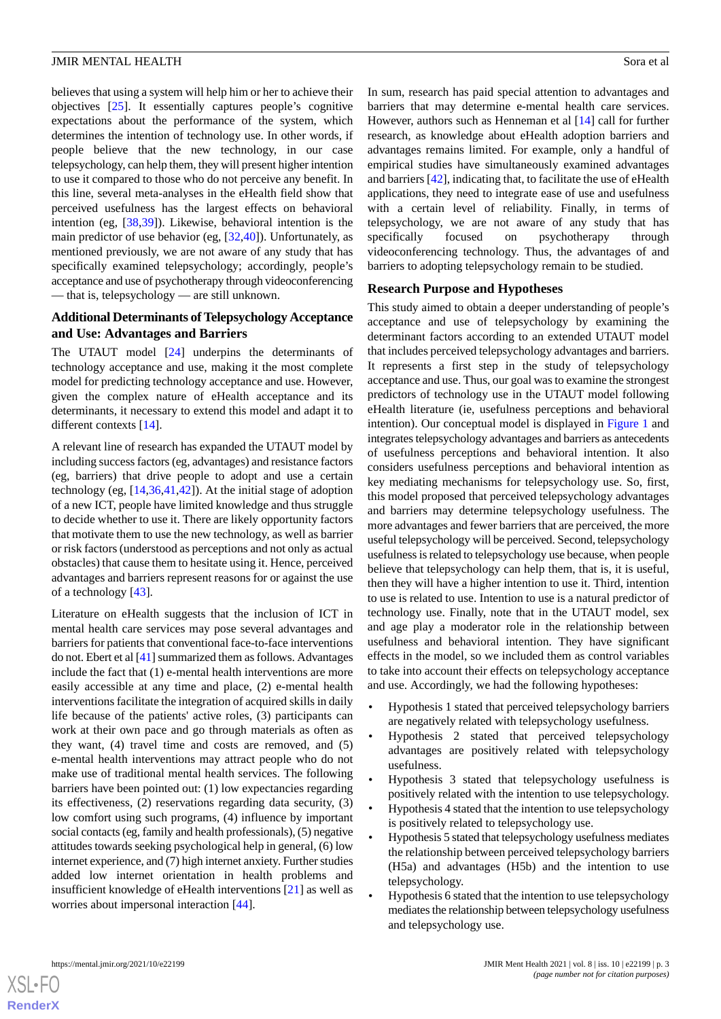believes that using a system will help him or her to achieve their objectives [\[25](#page-8-12)]. It essentially captures people's cognitive expectations about the performance of the system, which determines the intention of technology use. In other words, if people believe that the new technology, in our case telepsychology, can help them, they will present higher intention to use it compared to those who do not perceive any benefit. In this line, several meta-analyses in the eHealth field show that perceived usefulness has the largest effects on behavioral intention (eg, [[38,](#page-9-1)[39](#page-9-2)]). Likewise, behavioral intention is the main predictor of use behavior (eg, [[32,](#page-8-19)[40](#page-9-3)]). Unfortunately, as mentioned previously, we are not aware of any study that has specifically examined telepsychology; accordingly, people's acceptance and use of psychotherapy through videoconferencing — that is, telepsychology — are still unknown.

#### **Additional Determinants of Telepsychology Acceptance and Use: Advantages and Barriers**

The UTAUT model [\[24](#page-8-11)] underpins the determinants of technology acceptance and use, making it the most complete model for predicting technology acceptance and use. However, given the complex nature of eHealth acceptance and its determinants, it necessary to extend this model and adapt it to different contexts [\[14](#page-8-3)].

A relevant line of research has expanded the UTAUT model by including success factors (eg, advantages) and resistance factors (eg, barriers) that drive people to adopt and use a certain technology (eg, [\[14](#page-8-3),[36](#page-9-4)[,41](#page-9-5),[42\]](#page-9-6)). At the initial stage of adoption of a new ICT, people have limited knowledge and thus struggle to decide whether to use it. There are likely opportunity factors that motivate them to use the new technology, as well as barrier or risk factors (understood as perceptions and not only as actual obstacles) that cause them to hesitate using it. Hence, perceived advantages and barriers represent reasons for or against the use of a technology [[43\]](#page-9-7).

Literature on eHealth suggests that the inclusion of ICT in mental health care services may pose several advantages and barriers for patients that conventional face-to-face interventions do not. Ebert et al [\[41](#page-9-5)] summarized them as follows. Advantages include the fact that (1) e-mental health interventions are more easily accessible at any time and place, (2) e-mental health interventions facilitate the integration of acquired skills in daily life because of the patients' active roles, (3) participants can work at their own pace and go through materials as often as they want, (4) travel time and costs are removed, and (5) e-mental health interventions may attract people who do not make use of traditional mental health services. The following barriers have been pointed out: (1) low expectancies regarding its effectiveness, (2) reservations regarding data security, (3) low comfort using such programs, (4) influence by important social contacts (eg, family and health professionals), (5) negative attitudes towards seeking psychological help in general, (6) low internet experience, and (7) high internet anxiety. Further studies added low internet orientation in health problems and insufficient knowledge of eHealth interventions [[21\]](#page-8-8) as well as worries about impersonal interaction [\[44](#page-9-8)].

In sum, research has paid special attention to advantages and barriers that may determine e-mental health care services. However, authors such as Henneman et al [[14\]](#page-8-3) call for further research, as knowledge about eHealth adoption barriers and advantages remains limited. For example, only a handful of empirical studies have simultaneously examined advantages and barriers [[42\]](#page-9-6), indicating that, to facilitate the use of eHealth applications, they need to integrate ease of use and usefulness with a certain level of reliability. Finally, in terms of telepsychology, we are not aware of any study that has specifically focused on psychotherapy through videoconferencing technology. Thus, the advantages of and barriers to adopting telepsychology remain to be studied.

#### **Research Purpose and Hypotheses**

This study aimed to obtain a deeper understanding of people's acceptance and use of telepsychology by examining the determinant factors according to an extended UTAUT model that includes perceived telepsychology advantages and barriers. It represents a first step in the study of telepsychology acceptance and use. Thus, our goal was to examine the strongest predictors of technology use in the UTAUT model following eHealth literature (ie, usefulness perceptions and behavioral intention). Our conceptual model is displayed in [Figure 1](#page-3-0) and integrates telepsychology advantages and barriers as antecedents of usefulness perceptions and behavioral intention. It also considers usefulness perceptions and behavioral intention as key mediating mechanisms for telepsychology use. So, first, this model proposed that perceived telepsychology advantages and barriers may determine telepsychology usefulness. The more advantages and fewer barriers that are perceived, the more useful telepsychology will be perceived. Second, telepsychology usefulness is related to telepsychology use because, when people believe that telepsychology can help them, that is, it is useful, then they will have a higher intention to use it. Third, intention to use is related to use. Intention to use is a natural predictor of technology use. Finally, note that in the UTAUT model, sex and age play a moderator role in the relationship between usefulness and behavioral intention. They have significant effects in the model, so we included them as control variables to take into account their effects on telepsychology acceptance and use. Accordingly, we had the following hypotheses:

- Hypothesis 1 stated that perceived telepsychology barriers are negatively related with telepsychology usefulness.
- Hypothesis 2 stated that perceived telepsychology advantages are positively related with telepsychology usefulness.
- Hypothesis 3 stated that telepsychology usefulness is positively related with the intention to use telepsychology.
- Hypothesis 4 stated that the intention to use telepsychology is positively related to telepsychology use.
- Hypothesis 5 stated that telepsychology usefulness mediates the relationship between perceived telepsychology barriers (H5a) and advantages (H5b) and the intention to use telepsychology.
- Hypothesis 6 stated that the intention to use telepsychology mediates the relationship between telepsychology usefulness and telepsychology use.

```
XS\cdotFC
RenderX
```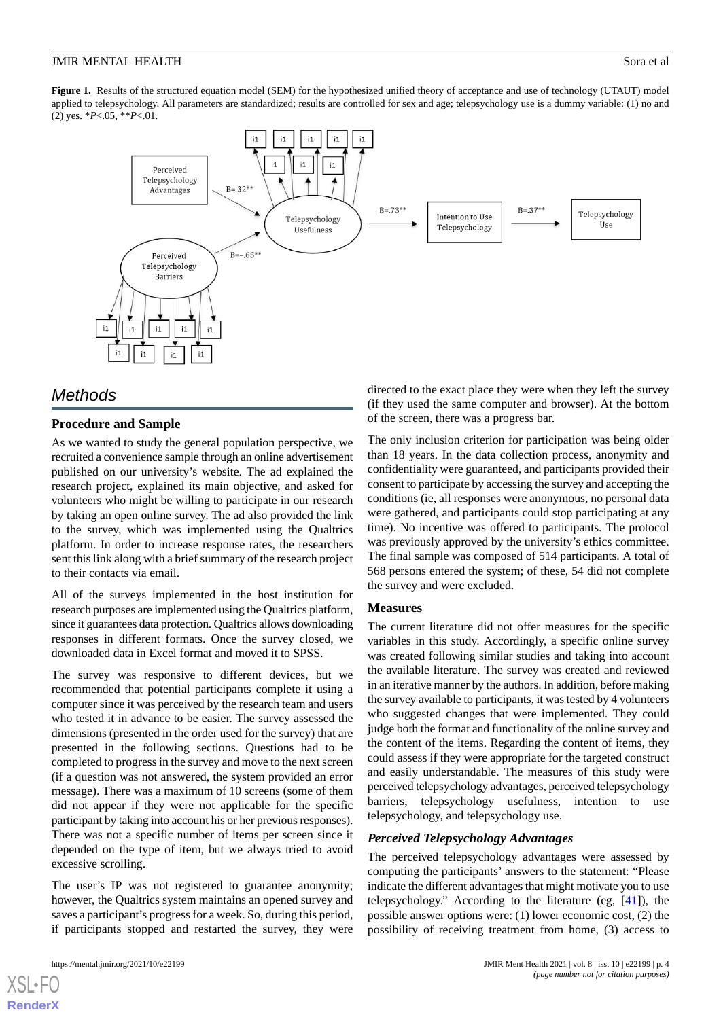<span id="page-3-0"></span>Figure 1. Results of the structured equation model (SEM) for the hypothesized unified theory of acceptance and use of technology (UTAUT) model applied to telepsychology. All parameters are standardized; results are controlled for sex and age; telepsychology use is a dummy variable: (1) no and (2) yes. \**P*<.05, \*\**P*<.01.



# *Methods*

# **Procedure and Sample**

As we wanted to study the general population perspective, we recruited a convenience sample through an online advertisement published on our university's website. The ad explained the research project, explained its main objective, and asked for volunteers who might be willing to participate in our research by taking an open online survey. The ad also provided the link to the survey, which was implemented using the Qualtrics platform. In order to increase response rates, the researchers sent this link along with a brief summary of the research project to their contacts via email.

All of the surveys implemented in the host institution for research purposes are implemented using the Qualtrics platform, since it guarantees data protection. Qualtrics allows downloading responses in different formats. Once the survey closed, we downloaded data in Excel format and moved it to SPSS.

The survey was responsive to different devices, but we recommended that potential participants complete it using a computer since it was perceived by the research team and users who tested it in advance to be easier. The survey assessed the dimensions (presented in the order used for the survey) that are presented in the following sections. Questions had to be completed to progress in the survey and move to the next screen (if a question was not answered, the system provided an error message). There was a maximum of 10 screens (some of them did not appear if they were not applicable for the specific participant by taking into account his or her previous responses). There was not a specific number of items per screen since it depended on the type of item, but we always tried to avoid excessive scrolling.

The user's IP was not registered to guarantee anonymity; however, the Qualtrics system maintains an opened survey and saves a participant's progress for a week. So, during this period, if participants stopped and restarted the survey, they were directed to the exact place they were when they left the survey (if they used the same computer and browser). At the bottom of the screen, there was a progress bar.

The only inclusion criterion for participation was being older than 18 years. In the data collection process, anonymity and confidentiality were guaranteed, and participants provided their consent to participate by accessing the survey and accepting the conditions (ie, all responses were anonymous, no personal data were gathered, and participants could stop participating at any time). No incentive was offered to participants. The protocol was previously approved by the university's ethics committee. The final sample was composed of 514 participants. A total of 568 persons entered the system; of these, 54 did not complete the survey and were excluded.

#### **Measures**

The current literature did not offer measures for the specific variables in this study. Accordingly, a specific online survey was created following similar studies and taking into account the available literature. The survey was created and reviewed in an iterative manner by the authors. In addition, before making the survey available to participants, it was tested by 4 volunteers who suggested changes that were implemented. They could judge both the format and functionality of the online survey and the content of the items. Regarding the content of items, they could assess if they were appropriate for the targeted construct and easily understandable. The measures of this study were perceived telepsychology advantages, perceived telepsychology barriers, telepsychology usefulness, intention to use telepsychology, and telepsychology use.

#### *Perceived Telepsychology Advantages*

The perceived telepsychology advantages were assessed by computing the participants' answers to the statement: "Please indicate the different advantages that might motivate you to use telepsychology." According to the literature (eg, [\[41](#page-9-5)]), the possible answer options were: (1) lower economic cost, (2) the possibility of receiving treatment from home, (3) access to

```
XSL•FO
RenderX
```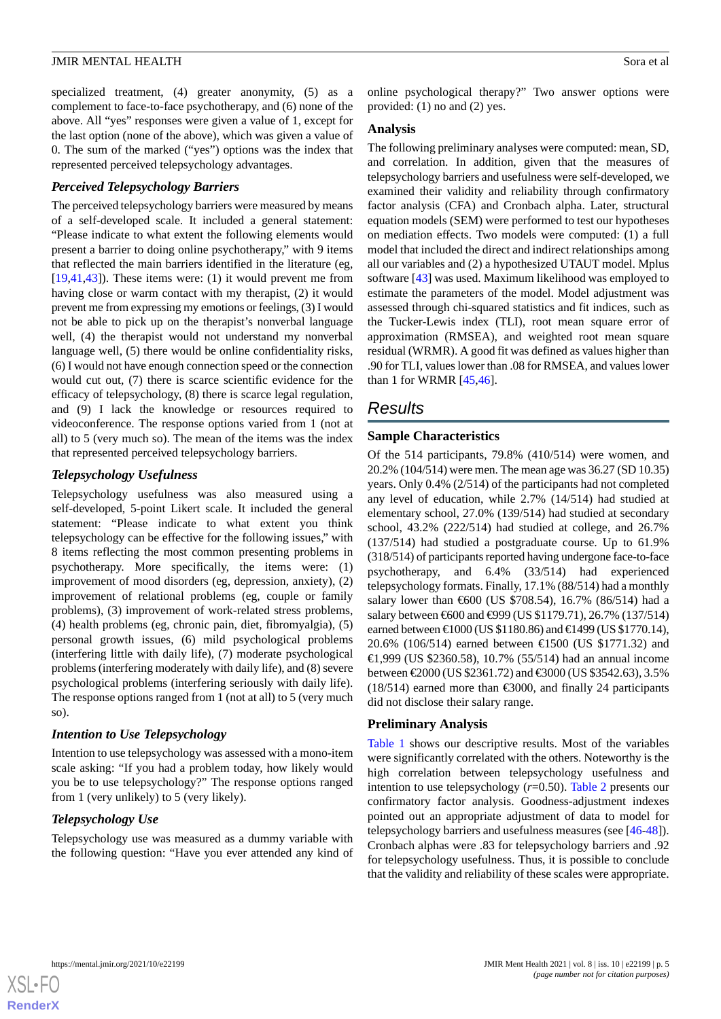specialized treatment, (4) greater anonymity, (5) as a complement to face-to-face psychotherapy, and (6) none of the above. All "yes" responses were given a value of 1, except for the last option (none of the above), which was given a value of 0. The sum of the marked ("yes") options was the index that represented perceived telepsychology advantages.

## *Perceived Telepsychology Barriers*

The perceived telepsychology barriers were measured by means of a self-developed scale. It included a general statement: "Please indicate to what extent the following elements would present a barrier to doing online psychotherapy," with 9 items that reflected the main barriers identified in the literature (eg, [[19](#page-8-20)[,41](#page-9-5),[43\]](#page-9-7)). These items were: (1) it would prevent me from having close or warm contact with my therapist, (2) it would prevent me from expressing my emotions or feelings, (3) I would not be able to pick up on the therapist's nonverbal language well, (4) the therapist would not understand my nonverbal language well, (5) there would be online confidentiality risks, (6) I would not have enough connection speed or the connection would cut out, (7) there is scarce scientific evidence for the efficacy of telepsychology, (8) there is scarce legal regulation, and (9) I lack the knowledge or resources required to videoconference. The response options varied from 1 (not at all) to 5 (very much so). The mean of the items was the index that represented perceived telepsychology barriers.

# *Telepsychology Usefulness*

Telepsychology usefulness was also measured using a self-developed, 5-point Likert scale. It included the general statement: "Please indicate to what extent you think telepsychology can be effective for the following issues," with 8 items reflecting the most common presenting problems in psychotherapy. More specifically, the items were: (1) improvement of mood disorders (eg, depression, anxiety), (2) improvement of relational problems (eg, couple or family problems), (3) improvement of work-related stress problems, (4) health problems (eg, chronic pain, diet, fibromyalgia), (5) personal growth issues, (6) mild psychological problems (interfering little with daily life), (7) moderate psychological problems (interfering moderately with daily life), and (8) severe psychological problems (interfering seriously with daily life). The response options ranged from 1 (not at all) to 5 (very much so).

# *Intention to Use Telepsychology*

Intention to use telepsychology was assessed with a mono-item scale asking: "If you had a problem today, how likely would you be to use telepsychology?" The response options ranged from 1 (very unlikely) to 5 (very likely).

# *Telepsychology Use*

Telepsychology use was measured as a dummy variable with the following question: "Have you ever attended any kind of online psychological therapy?" Two answer options were provided: (1) no and (2) yes.

#### **Analysis**

The following preliminary analyses were computed: mean, SD, and correlation. In addition, given that the measures of telepsychology barriers and usefulness were self-developed, we examined their validity and reliability through confirmatory factor analysis (CFA) and Cronbach alpha. Later, structural equation models (SEM) were performed to test our hypotheses on mediation effects. Two models were computed: (1) a full model that included the direct and indirect relationships among all our variables and (2) a hypothesized UTAUT model. Mplus software [\[43](#page-9-7)] was used. Maximum likelihood was employed to estimate the parameters of the model. Model adjustment was assessed through chi-squared statistics and fit indices, such as the Tucker-Lewis index (TLI), root mean square error of approximation (RMSEA), and weighted root mean square residual (WRMR). A good fit was defined as values higher than .90 for TLI, values lower than .08 for RMSEA, and values lower than 1 for WRMR [\[45](#page-9-9)[,46](#page-9-10)].

# *Results*

#### **Sample Characteristics**

Of the 514 participants, 79.8% (410/514) were women, and 20.2% (104/514) were men. The mean age was 36.27 (SD 10.35) years. Only 0.4% (2/514) of the participants had not completed any level of education, while 2.7% (14/514) had studied at elementary school, 27.0% (139/514) had studied at secondary school, 43.2% (222/514) had studied at college, and 26.7% (137/514) had studied a postgraduate course. Up to 61.9% (318/514) of participants reported having undergone face-to-face psychotherapy, and 6.4% (33/514) had experienced telepsychology formats. Finally, 17.1% (88/514) had a monthly salary lower than €600 (US \$708.54), 16.7% (86/514) had a salary between €600 and <sup>€999</sup> (US \$1179.71), 26.7% (137/514) earned between €1000 (US \$1180.86) and €1499 (US \$1770.14), 20.6% (106/514) earned between €1500 (US \$1771.32) and €1,999 (US \$2360.58), 10.7% (55/514) had an annual income between €2000 (US \$2361.72) and €3000 (US \$3542.63), 3.5%  $(18/514)$  earned more than  $\epsilon$ 3000, and finally 24 participants did not disclose their salary range.

#### **Preliminary Analysis**

[Table 1](#page-5-0) shows our descriptive results. Most of the variables were significantly correlated with the others. Noteworthy is the high correlation between telepsychology usefulness and intention to use telepsychology (*r*=0.50). [Table 2](#page-5-1) presents our confirmatory factor analysis. Goodness-adjustment indexes pointed out an appropriate adjustment of data to model for telepsychology barriers and usefulness measures (see [\[46](#page-9-10)-[48\]](#page-9-11)). Cronbach alphas were .83 for telepsychology barriers and .92 for telepsychology usefulness. Thus, it is possible to conclude that the validity and reliability of these scales were appropriate.

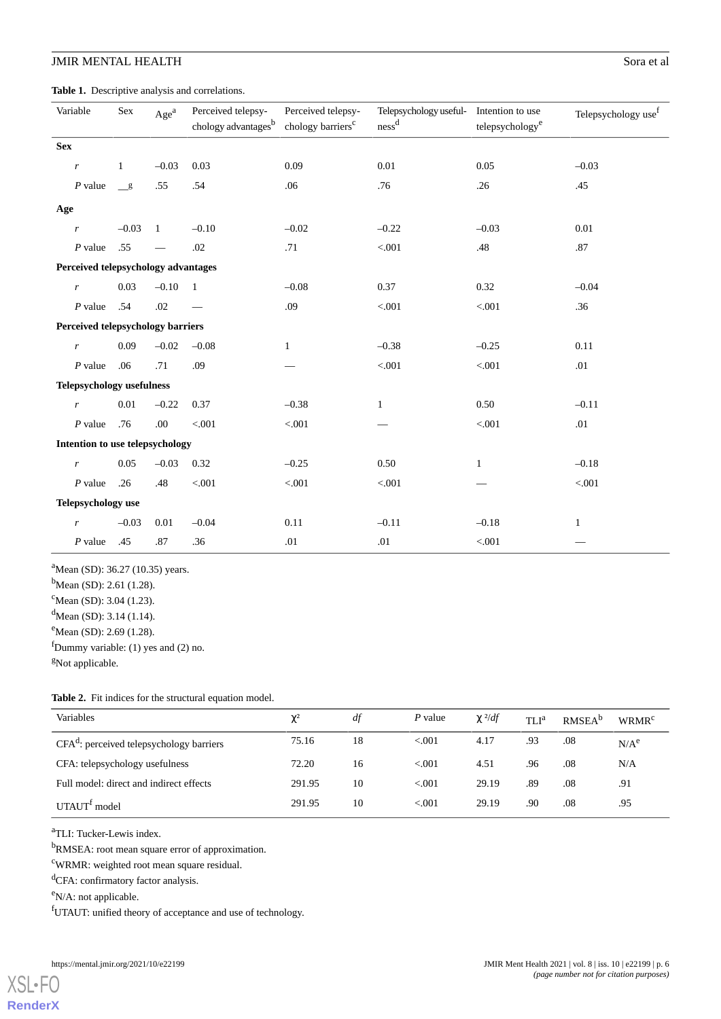<span id="page-5-0"></span>**Table 1.** Descriptive analysis and correlations.

| Variable                            |                                   | Sex          | Age <sup>a</sup>         | Perceived telepsy-<br>chology advantages <sup>b</sup> | Perceived telepsy-<br>chology barriers <sup>c</sup> | Telepsychology useful-<br>ness <sup>d</sup> | Intention to use<br>telepsychology <sup>e</sup> | Telepsychology use <sup>f</sup> |
|-------------------------------------|-----------------------------------|--------------|--------------------------|-------------------------------------------------------|-----------------------------------------------------|---------------------------------------------|-------------------------------------------------|---------------------------------|
| <b>Sex</b>                          |                                   |              |                          |                                                       |                                                     |                                             |                                                 |                                 |
|                                     | $\boldsymbol{r}$                  | $\mathbf{1}$ | $-0.03$                  | 0.03                                                  | 0.09                                                | 0.01                                        | 0.05                                            | $-0.03$                         |
|                                     | $P$ value                         | g            | .55                      | .54                                                   | .06                                                 | .76                                         | .26                                             | .45                             |
| Age                                 |                                   |              |                          |                                                       |                                                     |                                             |                                                 |                                 |
|                                     | r                                 | $-0.03$      | $\overline{1}$           | $-0.10$                                               | $-0.02$                                             | $-0.22$                                     | $-0.03$                                         | 0.01                            |
|                                     | $P$ value                         | .55          | $\overline{\phantom{m}}$ | .02                                                   | .71                                                 | $< 001$                                     | .48                                             | .87                             |
| Perceived telepsychology advantages |                                   |              |                          |                                                       |                                                     |                                             |                                                 |                                 |
|                                     | $\boldsymbol{r}$                  | 0.03         | $-0.10$                  | $\mathbf{1}$                                          | $-0.08$                                             | 0.37                                        | 0.32                                            | $-0.04$                         |
|                                     | $P$ value                         | .54          | .02                      |                                                       | .09                                                 | < .001                                      | < 0.001                                         | .36                             |
|                                     | Perceived telepsychology barriers |              |                          |                                                       |                                                     |                                             |                                                 |                                 |
|                                     | $\mathbf{r}$                      | 0.09         | $-0.02$                  | $-0.08$                                               | $\mathbf{1}$                                        | $-0.38$                                     | $-0.25$                                         | 0.11                            |
|                                     | $P$ value                         | .06          | .71                      | .09                                                   |                                                     | $< 001$                                     | $< 001$                                         | .01                             |
| <b>Telepsychology usefulness</b>    |                                   |              |                          |                                                       |                                                     |                                             |                                                 |                                 |
|                                     | $\boldsymbol{r}$                  | 0.01         | $-0.22$                  | 0.37                                                  | $-0.38$                                             | $\mathbf{1}$                                | 0.50                                            | $-0.11$                         |
|                                     | $P$ value                         | .76          | .00                      | < .001                                                | $< 001$                                             |                                             | < 0.001                                         | .01                             |
| Intention to use telepsychology     |                                   |              |                          |                                                       |                                                     |                                             |                                                 |                                 |
|                                     | $\boldsymbol{r}$                  | 0.05         | $-0.03$                  | 0.32                                                  | $-0.25$                                             | 0.50                                        | $\mathbf{1}$                                    | $-0.18$                         |
|                                     | $P$ value                         | .26          | .48                      | < .001                                                | $< 001$                                             | < .001                                      |                                                 | < 0.001                         |
| Telepsychology use                  |                                   |              |                          |                                                       |                                                     |                                             |                                                 |                                 |
|                                     | $\mathbf{r}$                      | $-0.03$      | 0.01                     | $-0.04$                                               | 0.11                                                | $-0.11$                                     | $-0.18$                                         | $\mathbf{1}$                    |
|                                     | $P$ value                         | .45          | .87                      | .36                                                   | .01                                                 | .01                                         | < 0.001                                         |                                 |

<sup>a</sup>Mean (SD): 36.27 (10.35) years.

 $<sup>b</sup>$ Mean (SD): 2.61 (1.28).</sup>

 $c$ Mean (SD): 3.04 (1.23).

 $d$ Mean (SD): 3.14 (1.14).

<span id="page-5-1"></span> $e^{\text{mean (SD)}}$ : 2.69 (1.28).

fDummy variable: (1) yes and (2) no.

<sup>g</sup>Not applicable.

#### **Table 2.** Fit indices for the structural equation model.

| Variables                                  | $\chi^2$ | df | P value | $\chi^2/df$ | TLI <sup>a</sup> | RMSEA <sup>b</sup> | <b>WRMR<sup>c</sup></b> |
|--------------------------------------------|----------|----|---------|-------------|------------------|--------------------|-------------------------|
| $CFAd$ : perceived telepsychology barriers | 75.16    | 18 | < 0.001 | 4.17        | .93              | .08                | N/A <sup>e</sup>        |
| CFA: telepsychology usefulness             | 72.20    | 16 | < 0.01  | 4.51        | .96              | .08                | N/A                     |
| Full model: direct and indirect effects    | 291.95   | 10 | < 0.01  | 29.19       | .89              | .08                | .91                     |
| UTAUT <sup>I</sup> model                   | 291.95   | 10 | < 0.01  | 29.19       | .90              | .08                | .95                     |

<sup>a</sup>TLI: Tucker-Lewis index.

<sup>b</sup>RMSEA: root mean square error of approximation.

<sup>c</sup>WRMR: weighted root mean square residual.

<sup>d</sup>CFA: confirmatory factor analysis.

<sup>e</sup>N/A: not applicable.

[XSL](http://www.w3.org/Style/XSL)•FO **[RenderX](http://www.renderx.com/)**

<sup>f</sup>UTAUT: unified theory of acceptance and use of technology.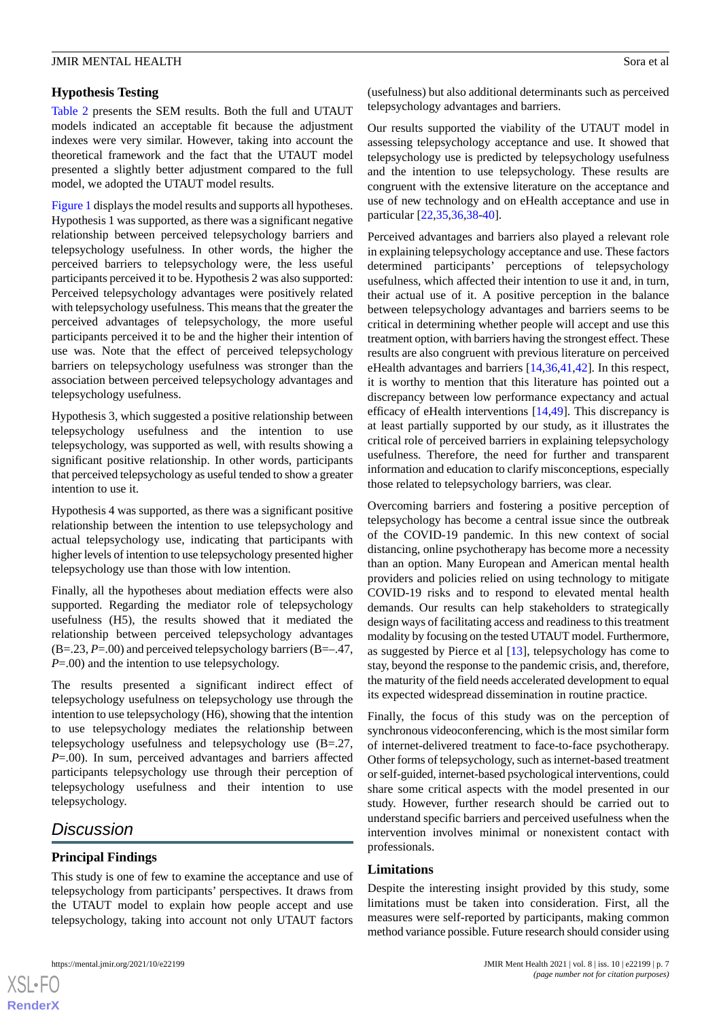# **Hypothesis Testing**

[Table 2](#page-5-1) presents the SEM results. Both the full and UTAUT models indicated an acceptable fit because the adjustment indexes were very similar. However, taking into account the theoretical framework and the fact that the UTAUT model presented a slightly better adjustment compared to the full model, we adopted the UTAUT model results.

[Figure 1](#page-3-0) displays the model results and supports all hypotheses. Hypothesis 1 was supported, as there was a significant negative relationship between perceived telepsychology barriers and telepsychology usefulness. In other words, the higher the perceived barriers to telepsychology were, the less useful participants perceived it to be. Hypothesis 2 was also supported: Perceived telepsychology advantages were positively related with telepsychology usefulness. This means that the greater the perceived advantages of telepsychology, the more useful participants perceived it to be and the higher their intention of use was. Note that the effect of perceived telepsychology barriers on telepsychology usefulness was stronger than the association between perceived telepsychology advantages and telepsychology usefulness.

Hypothesis 3, which suggested a positive relationship between telepsychology usefulness and the intention to use telepsychology, was supported as well, with results showing a significant positive relationship. In other words, participants that perceived telepsychology as useful tended to show a greater intention to use it.

Hypothesis 4 was supported, as there was a significant positive relationship between the intention to use telepsychology and actual telepsychology use, indicating that participants with higher levels of intention to use telepsychology presented higher telepsychology use than those with low intention.

Finally, all the hypotheses about mediation effects were also supported. Regarding the mediator role of telepsychology usefulness (H5), the results showed that it mediated the relationship between perceived telepsychology advantages (B=.23, *P*=.00) and perceived telepsychology barriers (B=–.47, *P*=.00) and the intention to use telepsychology.

The results presented a significant indirect effect of telepsychology usefulness on telepsychology use through the intention to use telepsychology (H6), showing that the intention to use telepsychology mediates the relationship between telepsychology usefulness and telepsychology use (B=.27, *P*=.00). In sum, perceived advantages and barriers affected participants telepsychology use through their perception of telepsychology usefulness and their intention to use telepsychology.

# *Discussion*

# **Principal Findings**

This study is one of few to examine the acceptance and use of telepsychology from participants' perspectives. It draws from the UTAUT model to explain how people accept and use telepsychology, taking into account not only UTAUT factors

(usefulness) but also additional determinants such as perceived telepsychology advantages and barriers.

Our results supported the viability of the UTAUT model in assessing telepsychology acceptance and use. It showed that telepsychology use is predicted by telepsychology usefulness and the intention to use telepsychology. These results are congruent with the extensive literature on the acceptance and use of new technology and on eHealth acceptance and use in particular [[22](#page-8-9)[,35](#page-9-12),[36](#page-9-4)[,38](#page-9-1)-[40\]](#page-9-3).

Perceived advantages and barriers also played a relevant role in explaining telepsychology acceptance and use. These factors determined participants' perceptions of telepsychology usefulness, which affected their intention to use it and, in turn, their actual use of it. A positive perception in the balance between telepsychology advantages and barriers seems to be critical in determining whether people will accept and use this treatment option, with barriers having the strongest effect. These results are also congruent with previous literature on perceived eHealth advantages and barriers [[14](#page-8-3)[,36](#page-9-4),[41](#page-9-5)[,42](#page-9-6)]. In this respect, it is worthy to mention that this literature has pointed out a discrepancy between low performance expectancy and actual efficacy of eHealth interventions [[14](#page-8-3)[,49](#page-9-13)]. This discrepancy is at least partially supported by our study, as it illustrates the critical role of perceived barriers in explaining telepsychology usefulness. Therefore, the need for further and transparent information and education to clarify misconceptions, especially those related to telepsychology barriers, was clear.

Overcoming barriers and fostering a positive perception of telepsychology has become a central issue since the outbreak of the COVID-19 pandemic. In this new context of social distancing, online psychotherapy has become more a necessity than an option. Many European and American mental health providers and policies relied on using technology to mitigate COVID-19 risks and to respond to elevated mental health demands. Our results can help stakeholders to strategically design ways of facilitating access and readiness to this treatment modality by focusing on the tested UTAUT model. Furthermore, as suggested by Pierce et al [[13\]](#page-8-2), telepsychology has come to stay, beyond the response to the pandemic crisis, and, therefore, the maturity of the field needs accelerated development to equal its expected widespread dissemination in routine practice.

Finally, the focus of this study was on the perception of synchronous videoconferencing, which is the most similar form of internet-delivered treatment to face-to-face psychotherapy. Other forms of telepsychology, such as internet-based treatment or self-guided, internet-based psychological interventions, could share some critical aspects with the model presented in our study. However, further research should be carried out to understand specific barriers and perceived usefulness when the intervention involves minimal or nonexistent contact with professionals.

# **Limitations**

Despite the interesting insight provided by this study, some limitations must be taken into consideration. First, all the measures were self-reported by participants, making common method variance possible. Future research should consider using

```
XS\cdotFC
RenderX
```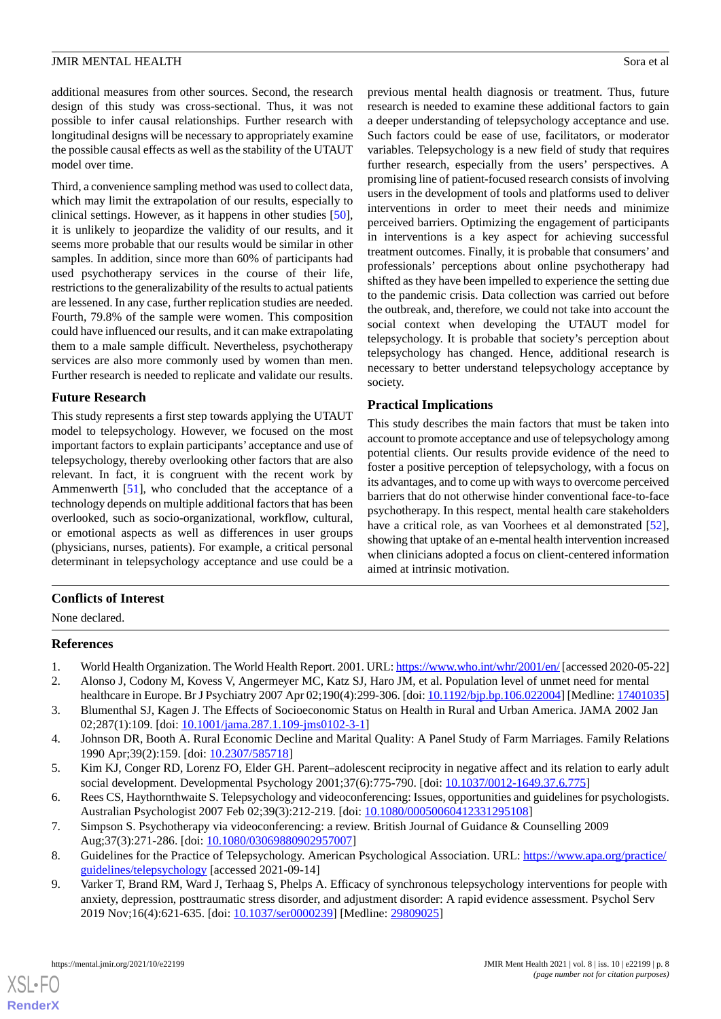additional measures from other sources. Second, the research design of this study was cross-sectional. Thus, it was not possible to infer causal relationships. Further research with longitudinal designs will be necessary to appropriately examine the possible causal effects as well as the stability of the UTAUT model over time.

Third, a convenience sampling method was used to collect data, which may limit the extrapolation of our results, especially to clinical settings. However, as it happens in other studies [[50\]](#page-9-14), it is unlikely to jeopardize the validity of our results, and it seems more probable that our results would be similar in other samples. In addition, since more than 60% of participants had used psychotherapy services in the course of their life, restrictions to the generalizability of the results to actual patients are lessened. In any case, further replication studies are needed. Fourth, 79.8% of the sample were women. This composition could have influenced our results, and it can make extrapolating them to a male sample difficult. Nevertheless, psychotherapy services are also more commonly used by women than men. Further research is needed to replicate and validate our results.

#### **Future Research**

This study represents a first step towards applying the UTAUT model to telepsychology. However, we focused on the most important factors to explain participants' acceptance and use of telepsychology, thereby overlooking other factors that are also relevant. In fact, it is congruent with the recent work by Ammenwerth [[51\]](#page-9-15), who concluded that the acceptance of a technology depends on multiple additional factors that has been overlooked, such as socio-organizational, workflow, cultural, or emotional aspects as well as differences in user groups (physicians, nurses, patients). For example, a critical personal determinant in telepsychology acceptance and use could be a

previous mental health diagnosis or treatment. Thus, future research is needed to examine these additional factors to gain a deeper understanding of telepsychology acceptance and use. Such factors could be ease of use, facilitators, or moderator variables. Telepsychology is a new field of study that requires further research, especially from the users' perspectives. A promising line of patient-focused research consists of involving users in the development of tools and platforms used to deliver interventions in order to meet their needs and minimize perceived barriers. Optimizing the engagement of participants in interventions is a key aspect for achieving successful treatment outcomes. Finally, it is probable that consumers' and professionals' perceptions about online psychotherapy had shifted as they have been impelled to experience the setting due to the pandemic crisis. Data collection was carried out before the outbreak, and, therefore, we could not take into account the social context when developing the UTAUT model for telepsychology. It is probable that society's perception about telepsychology has changed. Hence, additional research is necessary to better understand telepsychology acceptance by society.

#### **Practical Implications**

This study describes the main factors that must be taken into account to promote acceptance and use of telepsychology among potential clients. Our results provide evidence of the need to foster a positive perception of telepsychology, with a focus on its advantages, and to come up with ways to overcome perceived barriers that do not otherwise hinder conventional face-to-face psychotherapy. In this respect, mental health care stakeholders have a critical role, as van Voorhees et al demonstrated [[52\]](#page-9-16). showing that uptake of an e-mental health intervention increased when clinicians adopted a focus on client-centered information aimed at intrinsic motivation.

# <span id="page-7-0"></span>**Conflicts of Interest**

<span id="page-7-1"></span>None declared.

# <span id="page-7-2"></span>**References**

- 1. World Health Organization. The World Health Report. 2001. URL:<https://www.who.int/whr/2001/en/> [accessed 2020-05-22]
- <span id="page-7-3"></span>2. Alonso J, Codony M, Kovess V, Angermeyer MC, Katz SJ, Haro JM, et al. Population level of unmet need for mental healthcare in Europe. Br J Psychiatry 2007 Apr 02;190(4):299-306. [doi: [10.1192/bjp.bp.106.022004](http://dx.doi.org/10.1192/bjp.bp.106.022004)] [Medline: [17401035](http://www.ncbi.nlm.nih.gov/entrez/query.fcgi?cmd=Retrieve&db=PubMed&list_uids=17401035&dopt=Abstract)]
- <span id="page-7-4"></span>3. Blumenthal SJ, Kagen J. The Effects of Socioeconomic Status on Health in Rural and Urban America. JAMA 2002 Jan 02;287(1):109. [doi: [10.1001/jama.287.1.109-jms0102-3-1\]](http://dx.doi.org/10.1001/jama.287.1.109-jms0102-3-1)
- <span id="page-7-5"></span>4. Johnson DR, Booth A. Rural Economic Decline and Marital Quality: A Panel Study of Farm Marriages. Family Relations 1990 Apr;39(2):159. [doi: [10.2307/585718](http://dx.doi.org/10.2307/585718)]
- <span id="page-7-6"></span>5. Kim KJ, Conger RD, Lorenz FO, Elder GH. Parent–adolescent reciprocity in negative affect and its relation to early adult social development. Developmental Psychology 2001;37(6):775-790. [doi: [10.1037/0012-1649.37.6.775](http://dx.doi.org/10.1037/0012-1649.37.6.775)]
- <span id="page-7-7"></span>6. Rees CS, Haythornthwaite S. Telepsychology and videoconferencing: Issues, opportunities and guidelines for psychologists. Australian Psychologist 2007 Feb 02;39(3):212-219. [doi: [10.1080/00050060412331295108](http://dx.doi.org/10.1080/00050060412331295108)]
- 7. Simpson S. Psychotherapy via videoconferencing: a review. British Journal of Guidance & Counselling 2009 Aug;37(3):271-286. [doi: [10.1080/03069880902957007\]](http://dx.doi.org/10.1080/03069880902957007)
- 8. Guidelines for the Practice of Telepsychology. American Psychological Association. URL: [https://www.apa.org/practice/](https://www.apa.org/practice/guidelines/telepsychology) [guidelines/telepsychology](https://www.apa.org/practice/guidelines/telepsychology) [accessed 2021-09-14]
- 9. Varker T, Brand RM, Ward J, Terhaag S, Phelps A. Efficacy of synchronous telepsychology interventions for people with anxiety, depression, posttraumatic stress disorder, and adjustment disorder: A rapid evidence assessment. Psychol Serv 2019 Nov;16(4):621-635. [doi: [10.1037/ser0000239\]](http://dx.doi.org/10.1037/ser0000239) [Medline: [29809025\]](http://www.ncbi.nlm.nih.gov/entrez/query.fcgi?cmd=Retrieve&db=PubMed&list_uids=29809025&dopt=Abstract)

[XSL](http://www.w3.org/Style/XSL)•FO **[RenderX](http://www.renderx.com/)**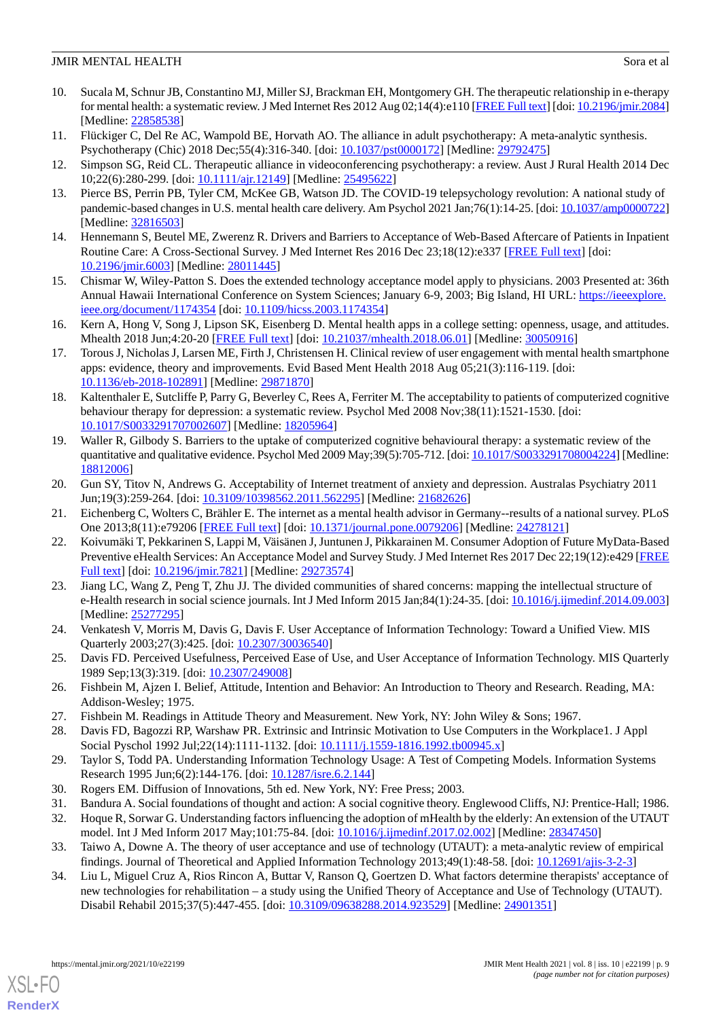- <span id="page-8-0"></span>10. Sucala M, Schnur JB, Constantino MJ, Miller SJ, Brackman EH, Montgomery GH. The therapeutic relationship in e-therapy for mental health: a systematic review. J Med Internet Res 2012 Aug 02;14(4):e110 [[FREE Full text](https://www.jmir.org/2012/4/e110/)] [doi: [10.2196/jmir.2084](http://dx.doi.org/10.2196/jmir.2084)] [Medline: [22858538](http://www.ncbi.nlm.nih.gov/entrez/query.fcgi?cmd=Retrieve&db=PubMed&list_uids=22858538&dopt=Abstract)]
- <span id="page-8-1"></span>11. Flückiger C, Del Re AC, Wampold BE, Horvath AO. The alliance in adult psychotherapy: A meta-analytic synthesis. Psychotherapy (Chic) 2018 Dec;55(4):316-340. [doi: [10.1037/pst0000172](http://dx.doi.org/10.1037/pst0000172)] [Medline: [29792475](http://www.ncbi.nlm.nih.gov/entrez/query.fcgi?cmd=Retrieve&db=PubMed&list_uids=29792475&dopt=Abstract)]
- <span id="page-8-2"></span>12. Simpson SG, Reid CL. Therapeutic alliance in videoconferencing psychotherapy: a review. Aust J Rural Health 2014 Dec 10;22(6):280-299. [doi: [10.1111/ajr.12149](http://dx.doi.org/10.1111/ajr.12149)] [Medline: [25495622](http://www.ncbi.nlm.nih.gov/entrez/query.fcgi?cmd=Retrieve&db=PubMed&list_uids=25495622&dopt=Abstract)]
- <span id="page-8-3"></span>13. Pierce BS, Perrin PB, Tyler CM, McKee GB, Watson JD. The COVID-19 telepsychology revolution: A national study of pandemic-based changes in U.S. mental health care delivery. Am Psychol 2021 Jan;76(1):14-25. [doi: [10.1037/amp0000722\]](http://dx.doi.org/10.1037/amp0000722) [Medline: [32816503](http://www.ncbi.nlm.nih.gov/entrez/query.fcgi?cmd=Retrieve&db=PubMed&list_uids=32816503&dopt=Abstract)]
- <span id="page-8-4"></span>14. Hennemann S, Beutel ME, Zwerenz R. Drivers and Barriers to Acceptance of Web-Based Aftercare of Patients in Inpatient Routine Care: A Cross-Sectional Survey. J Med Internet Res 2016 Dec 23;18(12):e337 [[FREE Full text](https://www.jmir.org/2016/12/e337/)] [doi: [10.2196/jmir.6003](http://dx.doi.org/10.2196/jmir.6003)] [Medline: [28011445](http://www.ncbi.nlm.nih.gov/entrez/query.fcgi?cmd=Retrieve&db=PubMed&list_uids=28011445&dopt=Abstract)]
- <span id="page-8-5"></span>15. Chismar W, Wiley-Patton S. Does the extended technology acceptance model apply to physicians. 2003 Presented at: 36th Annual Hawaii International Conference on System Sciences; January 6-9, 2003; Big Island, HI URL: [https://ieeexplore.](https://ieeexplore.ieee.org/document/1174354) [ieee.org/document/1174354](https://ieeexplore.ieee.org/document/1174354) [doi: [10.1109/hicss.2003.1174354](http://dx.doi.org/10.1109/hicss.2003.1174354)]
- <span id="page-8-6"></span>16. Kern A, Hong V, Song J, Lipson SK, Eisenberg D. Mental health apps in a college setting: openness, usage, and attitudes. Mhealth 2018 Jun;4:20-20 [\[FREE Full text\]](https://doi.org/10.21037/mhealth.2018.06.01) [doi: [10.21037/mhealth.2018.06.01](http://dx.doi.org/10.21037/mhealth.2018.06.01)] [Medline: [30050916\]](http://www.ncbi.nlm.nih.gov/entrez/query.fcgi?cmd=Retrieve&db=PubMed&list_uids=30050916&dopt=Abstract)
- <span id="page-8-7"></span>17. Torous J, Nicholas J, Larsen ME, Firth J, Christensen H. Clinical review of user engagement with mental health smartphone apps: evidence, theory and improvements. Evid Based Ment Health 2018 Aug 05;21(3):116-119. [doi: [10.1136/eb-2018-102891\]](http://dx.doi.org/10.1136/eb-2018-102891) [Medline: [29871870\]](http://www.ncbi.nlm.nih.gov/entrez/query.fcgi?cmd=Retrieve&db=PubMed&list_uids=29871870&dopt=Abstract)
- <span id="page-8-20"></span>18. Kaltenthaler E, Sutcliffe P, Parry G, Beverley C, Rees A, Ferriter M. The acceptability to patients of computerized cognitive behaviour therapy for depression: a systematic review. Psychol Med 2008 Nov;38(11):1521-1530. [doi: [10.1017/S0033291707002607](http://dx.doi.org/10.1017/S0033291707002607)] [Medline: [18205964](http://www.ncbi.nlm.nih.gov/entrez/query.fcgi?cmd=Retrieve&db=PubMed&list_uids=18205964&dopt=Abstract)]
- <span id="page-8-8"></span>19. Waller R, Gilbody S. Barriers to the uptake of computerized cognitive behavioural therapy: a systematic review of the quantitative and qualitative evidence. Psychol Med 2009 May;39(5):705-712. [doi: [10.1017/S0033291708004224\]](http://dx.doi.org/10.1017/S0033291708004224) [Medline: [18812006](http://www.ncbi.nlm.nih.gov/entrez/query.fcgi?cmd=Retrieve&db=PubMed&list_uids=18812006&dopt=Abstract)]
- <span id="page-8-9"></span>20. Gun SY, Titov N, Andrews G. Acceptability of Internet treatment of anxiety and depression. Australas Psychiatry 2011 Jun;19(3):259-264. [doi: [10.3109/10398562.2011.562295\]](http://dx.doi.org/10.3109/10398562.2011.562295) [Medline: [21682626](http://www.ncbi.nlm.nih.gov/entrez/query.fcgi?cmd=Retrieve&db=PubMed&list_uids=21682626&dopt=Abstract)]
- <span id="page-8-10"></span>21. Eichenberg C, Wolters C, Brähler E. The internet as a mental health advisor in Germany--results of a national survey. PLoS One 2013;8(11):e79206 [\[FREE Full text\]](https://dx.plos.org/10.1371/journal.pone.0079206) [doi: [10.1371/journal.pone.0079206\]](http://dx.doi.org/10.1371/journal.pone.0079206) [Medline: [24278121\]](http://www.ncbi.nlm.nih.gov/entrez/query.fcgi?cmd=Retrieve&db=PubMed&list_uids=24278121&dopt=Abstract)
- 22. Koivumäki T, Pekkarinen S, Lappi M, Väisänen J, Juntunen J, Pikkarainen M. Consumer Adoption of Future MyData-Based Preventive eHealth Services: An Acceptance Model and Survey Study. J Med Internet Res 2017 Dec 22;19(12):e429 [\[FREE](https://www.jmir.org/2017/12/e429/) [Full text\]](https://www.jmir.org/2017/12/e429/) [doi: [10.2196/jmir.7821](http://dx.doi.org/10.2196/jmir.7821)] [Medline: [29273574\]](http://www.ncbi.nlm.nih.gov/entrez/query.fcgi?cmd=Retrieve&db=PubMed&list_uids=29273574&dopt=Abstract)
- <span id="page-8-12"></span><span id="page-8-11"></span>23. Jiang LC, Wang Z, Peng T, Zhu JJ. The divided communities of shared concerns: mapping the intellectual structure of e-Health research in social science journals. Int J Med Inform 2015 Jan;84(1):24-35. [doi: [10.1016/j.ijmedinf.2014.09.003](http://dx.doi.org/10.1016/j.ijmedinf.2014.09.003)] [Medline: [25277295](http://www.ncbi.nlm.nih.gov/entrez/query.fcgi?cmd=Retrieve&db=PubMed&list_uids=25277295&dopt=Abstract)]
- <span id="page-8-13"></span>24. Venkatesh V, Morris M, Davis G, Davis F. User Acceptance of Information Technology: Toward a Unified View. MIS Quarterly 2003;27(3):425. [doi: [10.2307/30036540](http://dx.doi.org/10.2307/30036540)]
- <span id="page-8-15"></span><span id="page-8-14"></span>25. Davis FD. Perceived Usefulness, Perceived Ease of Use, and User Acceptance of Information Technology. MIS Quarterly 1989 Sep;13(3):319. [doi: [10.2307/249008\]](http://dx.doi.org/10.2307/249008)
- <span id="page-8-16"></span>26. Fishbein M, Ajzen I. Belief, Attitude, Intention and Behavior: An Introduction to Theory and Research. Reading, MA: Addison-Wesley; 1975.
- <span id="page-8-17"></span>27. Fishbein M. Readings in Attitude Theory and Measurement. New York, NY: John Wiley & Sons; 1967.
- <span id="page-8-19"></span><span id="page-8-18"></span>28. Davis FD, Bagozzi RP, Warshaw PR. Extrinsic and Intrinsic Motivation to Use Computers in the Workplace1. J Appl Social Pyschol 1992 Jul;22(14):1111-1132. [doi: [10.1111/j.1559-1816.1992.tb00945.x\]](http://dx.doi.org/10.1111/j.1559-1816.1992.tb00945.x)
- 29. Taylor S, Todd PA. Understanding Information Technology Usage: A Test of Competing Models. Information Systems Research 1995 Jun; 6(2): 144-176. [doi: 10.1287/isre. 6.2.144]
- 30. Rogers EM. Diffusion of Innovations, 5th ed. New York, NY: Free Press; 2003.
- 31. Bandura A. Social foundations of thought and action: A social cognitive theory. Englewood Cliffs, NJ: Prentice-Hall; 1986.
- 32. Hoque R, Sorwar G. Understanding factors influencing the adoption of mHealth by the elderly: An extension of the UTAUT model. Int J Med Inform 2017 May;101:75-84. [doi: [10.1016/j.ijmedinf.2017.02.002\]](http://dx.doi.org/10.1016/j.ijmedinf.2017.02.002) [Medline: [28347450\]](http://www.ncbi.nlm.nih.gov/entrez/query.fcgi?cmd=Retrieve&db=PubMed&list_uids=28347450&dopt=Abstract)
- 33. Taiwo A, Downe A. The theory of user acceptance and use of technology (UTAUT): a meta-analytic review of empirical findings. Journal of Theoretical and Applied Information Technology 2013;49(1):48-58. [doi: [10.12691/ajis-3-2-3](http://dx.doi.org/10.12691/ajis-3-2-3)]
- 34. Liu L, Miguel Cruz A, Rios Rincon A, Buttar V, Ranson Q, Goertzen D. What factors determine therapists' acceptance of new technologies for rehabilitation – a study using the Unified Theory of Acceptance and Use of Technology (UTAUT). Disabil Rehabil 2015;37(5):447-455. [doi: [10.3109/09638288.2014.923529\]](http://dx.doi.org/10.3109/09638288.2014.923529) [Medline: [24901351](http://www.ncbi.nlm.nih.gov/entrez/query.fcgi?cmd=Retrieve&db=PubMed&list_uids=24901351&dopt=Abstract)]

[XSL](http://www.w3.org/Style/XSL)•FO **[RenderX](http://www.renderx.com/)**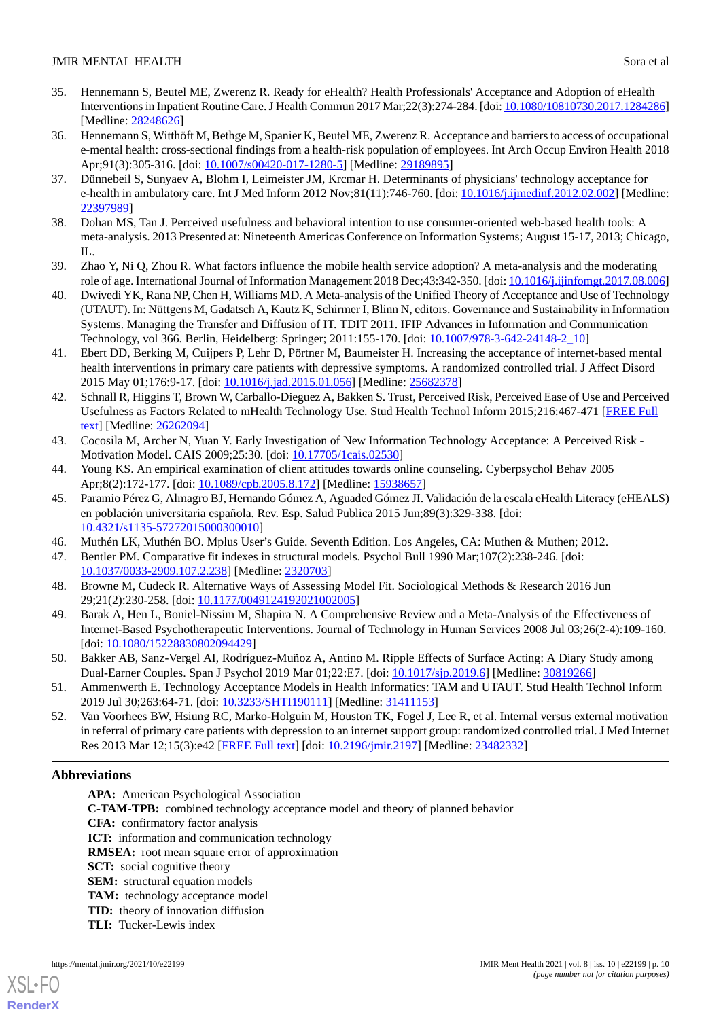- <span id="page-9-12"></span>35. Hennemann S, Beutel ME, Zwerenz R. Ready for eHealth? Health Professionals' Acceptance and Adoption of eHealth Interventions in Inpatient Routine Care. J Health Commun 2017 Mar;22(3):274-284. [doi: [10.1080/10810730.2017.1284286\]](http://dx.doi.org/10.1080/10810730.2017.1284286) [Medline: [28248626](http://www.ncbi.nlm.nih.gov/entrez/query.fcgi?cmd=Retrieve&db=PubMed&list_uids=28248626&dopt=Abstract)]
- <span id="page-9-4"></span>36. Hennemann S, Witthöft M, Bethge M, Spanier K, Beutel ME, Zwerenz R. Acceptance and barriers to access of occupational e-mental health: cross-sectional findings from a health-risk population of employees. Int Arch Occup Environ Health 2018 Apr;91(3):305-316. [doi: [10.1007/s00420-017-1280-5](http://dx.doi.org/10.1007/s00420-017-1280-5)] [Medline: [29189895\]](http://www.ncbi.nlm.nih.gov/entrez/query.fcgi?cmd=Retrieve&db=PubMed&list_uids=29189895&dopt=Abstract)
- <span id="page-9-0"></span>37. Dünnebeil S, Sunyaev A, Blohm I, Leimeister JM, Krcmar H. Determinants of physicians' technology acceptance for e-health in ambulatory care. Int J Med Inform 2012 Nov;81(11):746-760. [doi: [10.1016/j.ijmedinf.2012.02.002\]](http://dx.doi.org/10.1016/j.ijmedinf.2012.02.002) [Medline: [22397989](http://www.ncbi.nlm.nih.gov/entrez/query.fcgi?cmd=Retrieve&db=PubMed&list_uids=22397989&dopt=Abstract)]
- <span id="page-9-2"></span><span id="page-9-1"></span>38. Dohan MS, Tan J. Perceived usefulness and behavioral intention to use consumer-oriented web-based health tools: A meta-analysis. 2013 Presented at: Nineteenth Americas Conference on Information Systems; August 15-17, 2013; Chicago, IL.
- <span id="page-9-3"></span>39. Zhao Y, Ni Q, Zhou R. What factors influence the mobile health service adoption? A meta-analysis and the moderating role of age. International Journal of Information Management 2018 Dec;43:342-350. [doi: [10.1016/j.ijinfomgt.2017.08.006](http://dx.doi.org/10.1016/j.ijinfomgt.2017.08.006)]
- <span id="page-9-5"></span>40. Dwivedi YK, Rana NP, Chen H, Williams MD. A Meta-analysis of the Unified Theory of Acceptance and Use of Technology (UTAUT). In: Nüttgens M, Gadatsch A, Kautz K, Schirmer I, Blinn N, editors. Governance and Sustainability in Information Systems. Managing the Transfer and Diffusion of IT. TDIT 2011. IFIP Advances in Information and Communication Technology, vol 366. Berlin, Heidelberg: Springer; 2011:155-170. [doi: [10.1007/978-3-642-24148-2\\_10](http://dx.doi.org/10.1007/978-3-642-24148-2_10)]
- <span id="page-9-6"></span>41. Ebert DD, Berking M, Cuijpers P, Lehr D, Pörtner M, Baumeister H. Increasing the acceptance of internet-based mental health interventions in primary care patients with depressive symptoms. A randomized controlled trial. J Affect Disord 2015 May 01;176:9-17. [doi: [10.1016/j.jad.2015.01.056](http://dx.doi.org/10.1016/j.jad.2015.01.056)] [Medline: [25682378](http://www.ncbi.nlm.nih.gov/entrez/query.fcgi?cmd=Retrieve&db=PubMed&list_uids=25682378&dopt=Abstract)]
- <span id="page-9-7"></span>42. Schnall R, Higgins T, Brown W, Carballo-Dieguez A, Bakken S. Trust, Perceived Risk, Perceived Ease of Use and Perceived Usefulness as Factors Related to mHealth Technology Use. Stud Health Technol Inform 2015;216:467-471 [\[FREE Full](http://europepmc.org/abstract/MED/26262094) [text](http://europepmc.org/abstract/MED/26262094)] [Medline: [26262094](http://www.ncbi.nlm.nih.gov/entrez/query.fcgi?cmd=Retrieve&db=PubMed&list_uids=26262094&dopt=Abstract)]
- <span id="page-9-9"></span><span id="page-9-8"></span>43. Cocosila M, Archer N, Yuan Y. Early Investigation of New Information Technology Acceptance: A Perceived Risk - Motivation Model. CAIS 2009;25:30. [doi: [10.17705/1cais.02530\]](http://dx.doi.org/10.17705/1cais.02530)
- 44. Young KS. An empirical examination of client attitudes towards online counseling. Cyberpsychol Behav 2005 Apr;8(2):172-177. [doi: [10.1089/cpb.2005.8.172\]](http://dx.doi.org/10.1089/cpb.2005.8.172) [Medline: [15938657\]](http://www.ncbi.nlm.nih.gov/entrez/query.fcgi?cmd=Retrieve&db=PubMed&list_uids=15938657&dopt=Abstract)
- <span id="page-9-10"></span>45. Paramio Pérez G, Almagro BJ, Hernando Gómez A, Aguaded Gómez JI. Validación de la escala eHealth Literacy (eHEALS) en población universitaria española. Rev. Esp. Salud Publica 2015 Jun;89(3):329-338. [doi: [10.4321/s1135-57272015000300010](http://dx.doi.org/10.4321/s1135-57272015000300010)]
- <span id="page-9-11"></span>46. Muthén LK, Muthén BO. Mplus User's Guide. Seventh Edition. Los Angeles, CA: Muthen & Muthen; 2012.
- <span id="page-9-13"></span>47. Bentler PM. Comparative fit indexes in structural models. Psychol Bull 1990 Mar;107(2):238-246. [doi: [10.1037/0033-2909.107.2.238\]](http://dx.doi.org/10.1037/0033-2909.107.2.238) [Medline: [2320703](http://www.ncbi.nlm.nih.gov/entrez/query.fcgi?cmd=Retrieve&db=PubMed&list_uids=2320703&dopt=Abstract)]
- <span id="page-9-14"></span>48. Browne M, Cudeck R. Alternative Ways of Assessing Model Fit. Sociological Methods & Research 2016 Jun 29;21(2):230-258. [doi: [10.1177/0049124192021002005\]](http://dx.doi.org/10.1177/0049124192021002005)
- <span id="page-9-15"></span>49. Barak A, Hen L, Boniel-Nissim M, Shapira N. A Comprehensive Review and a Meta-Analysis of the Effectiveness of Internet-Based Psychotherapeutic Interventions. Journal of Technology in Human Services 2008 Jul 03;26(2-4):109-160. [doi: [10.1080/15228830802094429](http://dx.doi.org/10.1080/15228830802094429)]
- <span id="page-9-16"></span>50. Bakker AB, Sanz-Vergel AI, Rodríguez-Muñoz A, Antino M. Ripple Effects of Surface Acting: A Diary Study among Dual-Earner Couples. Span J Psychol 2019 Mar 01;22:E7. [doi: [10.1017/sjp.2019.6\]](http://dx.doi.org/10.1017/sjp.2019.6) [Medline: [30819266\]](http://www.ncbi.nlm.nih.gov/entrez/query.fcgi?cmd=Retrieve&db=PubMed&list_uids=30819266&dopt=Abstract)
- 51. Ammenwerth E. Technology Acceptance Models in Health Informatics: TAM and UTAUT. Stud Health Technol Inform 2019 Jul 30;263:64-71. [doi: [10.3233/SHTI190111\]](http://dx.doi.org/10.3233/SHTI190111) [Medline: [31411153\]](http://www.ncbi.nlm.nih.gov/entrez/query.fcgi?cmd=Retrieve&db=PubMed&list_uids=31411153&dopt=Abstract)
- 52. Van Voorhees BW, Hsiung RC, Marko-Holguin M, Houston TK, Fogel J, Lee R, et al. Internal versus external motivation in referral of primary care patients with depression to an internet support group: randomized controlled trial. J Med Internet Res 2013 Mar 12;15(3):e42 [\[FREE Full text\]](https://www.jmir.org/2013/3/e42/) [doi: [10.2196/jmir.2197\]](http://dx.doi.org/10.2196/jmir.2197) [Medline: [23482332](http://www.ncbi.nlm.nih.gov/entrez/query.fcgi?cmd=Retrieve&db=PubMed&list_uids=23482332&dopt=Abstract)]

# **Abbreviations**

**APA:** American Psychological Association

**C-TAM-TPB:** combined technology acceptance model and theory of planned behavior

**CFA:** confirmatory factor analysis

**ICT:** information and communication technology

**RMSEA:** root mean square error of approximation

**SCT:** social cognitive theory

**SEM:** structural equation models

**TAM:** technology acceptance model

**TID:** theory of innovation diffusion

**TLI:** Tucker-Lewis index

[XSL](http://www.w3.org/Style/XSL)•FO **[RenderX](http://www.renderx.com/)**